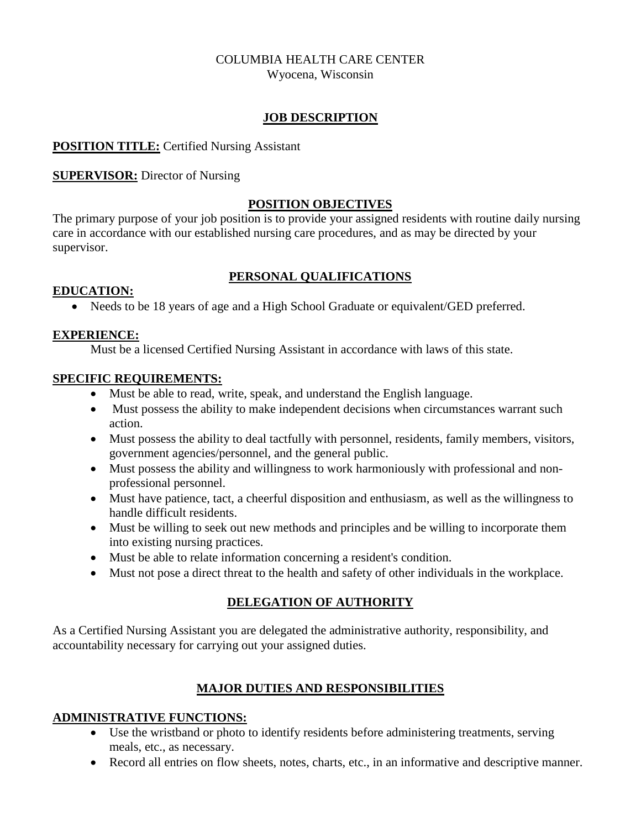# COLUMBIA HEALTH CARE CENTER

Wyocena, Wisconsin

#### **JOB DESCRIPTION**

### **POSITION TITLE:** Certified Nursing Assistant

### **SUPERVISOR:** Director of Nursing

#### **POSITION OBJECTIVES**

The primary purpose of your job position is to provide your assigned residents with routine daily nursing care in accordance with our established nursing care procedures, and as may be directed by your supervisor.

## **PERSONAL QUALIFICATIONS**

#### **EDUCATION:**

Needs to be 18 years of age and a High School Graduate or equivalent/GED preferred.

### **EXPERIENCE:**

Must be a licensed Certified Nursing Assistant in accordance with laws of this state.

### **SPECIFIC REQUIREMENTS:**

- Must be able to read, write, speak, and understand the English language.
- Must possess the ability to make independent decisions when circumstances warrant such action.
- Must possess the ability to deal tactfully with personnel, residents, family members, visitors, government agencies/personnel, and the general public.
- Must possess the ability and willingness to work harmoniously with professional and nonprofessional personnel.
- Must have patience, tact, a cheerful disposition and enthusiasm, as well as the willingness to handle difficult residents.
- Must be willing to seek out new methods and principles and be willing to incorporate them into existing nursing practices.
- Must be able to relate information concerning a resident's condition.
- Must not pose a direct threat to the health and safety of other individuals in the workplace.

# **DELEGATION OF AUTHORITY**

As a Certified Nursing Assistant you are delegated the administrative authority, responsibility, and accountability necessary for carrying out your assigned duties.

# **MAJOR DUTIES AND RESPONSIBILITIES**

## **ADMINISTRATIVE FUNCTIONS:**

- Use the wristband or photo to identify residents before administering treatments, serving meals, etc., as necessary.
- Record all entries on flow sheets, notes, charts, etc., in an informative and descriptive manner.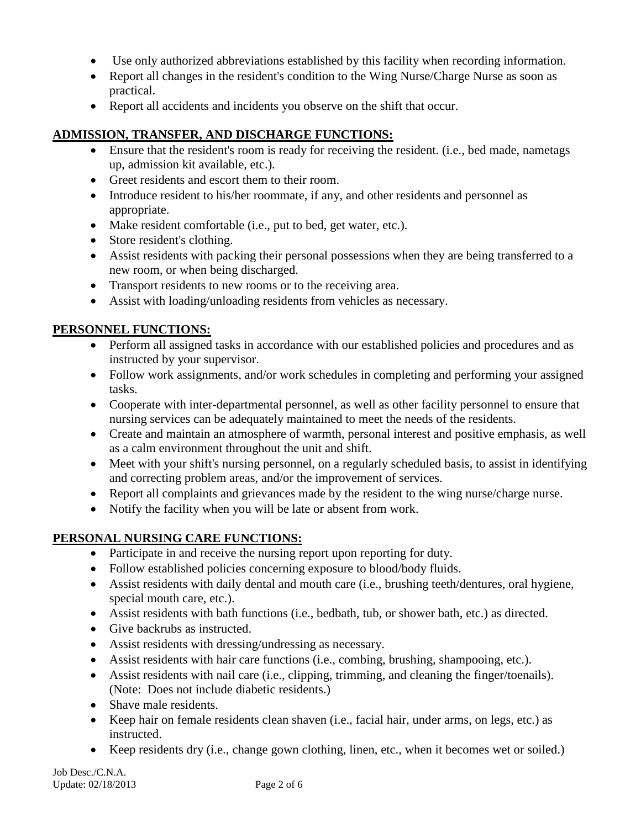- Use only authorized abbreviations established by this facility when recording information.
- Report all changes in the resident's condition to the Wing Nurse/Charge Nurse as soon as practical.
- Report all accidents and incidents you observe on the shift that occur.

## **ADMISSION, TRANSFER, AND DISCHARGE FUNCTIONS:**

- Ensure that the resident's room is ready for receiving the resident. (i.e., bed made, nametags up, admission kit available, etc.).
- Greet residents and escort them to their room.
- Introduce resident to his/her roommate, if any, and other residents and personnel as appropriate.
- Make resident comfortable (i.e., put to bed, get water, etc.).
- Store resident's clothing.
- Assist residents with packing their personal possessions when they are being transferred to a new room, or when being discharged.
- Transport residents to new rooms or to the receiving area.
- Assist with loading/unloading residents from vehicles as necessary.

## **PERSONNEL FUNCTIONS:**

- Perform all assigned tasks in accordance with our established policies and procedures and as instructed by your supervisor.
- Follow work assignments, and/or work schedules in completing and performing your assigned tasks.
- Cooperate with inter-departmental personnel, as well as other facility personnel to ensure that nursing services can be adequately maintained to meet the needs of the residents.
- Create and maintain an atmosphere of warmth, personal interest and positive emphasis, as well as a calm environment throughout the unit and shift.
- Meet with your shift's nursing personnel, on a regularly scheduled basis, to assist in identifying and correcting problem areas, and/or the improvement of services.
- Report all complaints and grievances made by the resident to the wing nurse/charge nurse.
- Notify the facility when you will be late or absent from work.

# **PERSONAL NURSING CARE FUNCTIONS:**

- Participate in and receive the nursing report upon reporting for duty.
- Follow established policies concerning exposure to blood/body fluids.
- Assist residents with daily dental and mouth care (i.e., brushing teeth/dentures, oral hygiene, special mouth care, etc.).
- Assist residents with bath functions (i.e., bedbath, tub, or shower bath, etc.) as directed.
- Give backrubs as instructed.
- Assist residents with dressing/undressing as necessary.
- Assist residents with hair care functions (i.e., combing, brushing, shampooing, etc.).
- Assist residents with nail care (i.e., clipping, trimming, and cleaning the finger/toenails). (Note: Does not include diabetic residents.)
- Shave male residents.
- Keep hair on female residents clean shaven (i.e., facial hair, under arms, on legs, etc.) as instructed.
- Keep residents dry (i.e., change gown clothing, linen, etc., when it becomes wet or soiled.)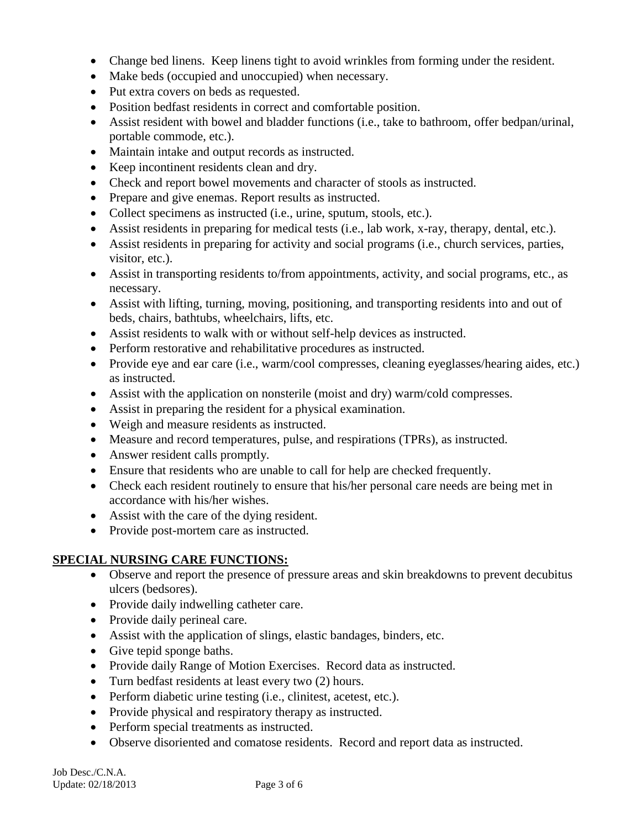- Change bed linens. Keep linens tight to avoid wrinkles from forming under the resident.
- Make beds (occupied and unoccupied) when necessary.
- Put extra covers on beds as requested.
- Position bedfast residents in correct and comfortable position.
- Assist resident with bowel and bladder functions (i.e., take to bathroom, offer bedpan/urinal, portable commode, etc.).
- Maintain intake and output records as instructed.
- Keep incontinent residents clean and dry.
- Check and report bowel movements and character of stools as instructed.
- Prepare and give enemas. Report results as instructed.
- Collect specimens as instructed (i.e., urine, sputum, stools, etc.).
- Assist residents in preparing for medical tests (i.e., lab work, x-ray, therapy, dental, etc.).
- Assist residents in preparing for activity and social programs (i.e., church services, parties, visitor, etc.).
- Assist in transporting residents to/from appointments, activity, and social programs, etc., as necessary.
- Assist with lifting, turning, moving, positioning, and transporting residents into and out of beds, chairs, bathtubs, wheelchairs, lifts, etc.
- Assist residents to walk with or without self-help devices as instructed.
- Perform restorative and rehabilitative procedures as instructed.
- Provide eye and ear care (i.e., warm/cool compresses, cleaning eyeglasses/hearing aides, etc.) as instructed.
- Assist with the application on nonsterile (moist and dry) warm/cold compresses.
- Assist in preparing the resident for a physical examination.
- Weigh and measure residents as instructed.
- Measure and record temperatures, pulse, and respirations (TPRs), as instructed.
- Answer resident calls promptly.
- Ensure that residents who are unable to call for help are checked frequently.
- Check each resident routinely to ensure that his/her personal care needs are being met in accordance with his/her wishes.
- Assist with the care of the dying resident.
- Provide post-mortem care as instructed.

#### **SPECIAL NURSING CARE FUNCTIONS:**

- Observe and report the presence of pressure areas and skin breakdowns to prevent decubitus ulcers (bedsores).
- Provide daily indwelling catheter care.
- Provide daily perineal care.
- Assist with the application of slings, elastic bandages, binders, etc.
- Give tepid sponge baths.
- Provide daily Range of Motion Exercises. Record data as instructed.
- Turn bedfast residents at least every two (2) hours.
- Perform diabetic urine testing (i.e., clinitest, acetest, etc.).
- Provide physical and respiratory therapy as instructed.
- Perform special treatments as instructed.
- Observe disoriented and comatose residents. Record and report data as instructed.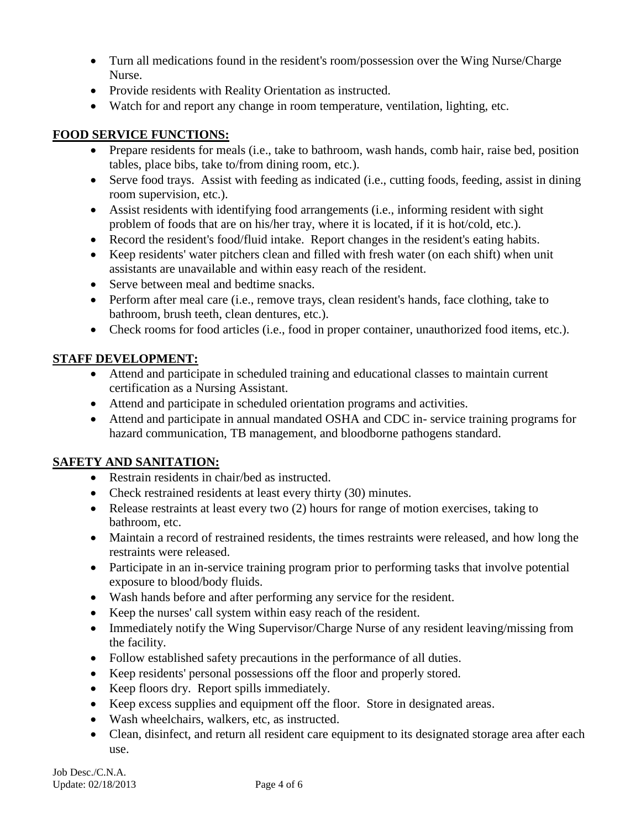- Turn all medications found in the resident's room/possession over the Wing Nurse/Charge Nurse.
- Provide residents with Reality Orientation as instructed.
- Watch for and report any change in room temperature, ventilation, lighting, etc.

# **FOOD SERVICE FUNCTIONS:**

- Prepare residents for meals (i.e., take to bathroom, wash hands, comb hair, raise bed, position tables, place bibs, take to/from dining room, etc.).
- Serve food trays. Assist with feeding as indicated (i.e., cutting foods, feeding, assist in dining room supervision, etc.).
- Assist residents with identifying food arrangements (i.e., informing resident with sight problem of foods that are on his/her tray, where it is located, if it is hot/cold, etc.).
- Record the resident's food/fluid intake. Report changes in the resident's eating habits.
- Keep residents' water pitchers clean and filled with fresh water (on each shift) when unit assistants are unavailable and within easy reach of the resident.
- Serve between meal and bedtime snacks.
- Perform after meal care (i.e., remove trays, clean resident's hands, face clothing, take to bathroom, brush teeth, clean dentures, etc.).
- Check rooms for food articles (i.e., food in proper container, unauthorized food items, etc.).

# **STAFF DEVELOPMENT:**

- Attend and participate in scheduled training and educational classes to maintain current certification as a Nursing Assistant.
- Attend and participate in scheduled orientation programs and activities.
- Attend and participate in annual mandated OSHA and CDC in- service training programs for hazard communication, TB management, and bloodborne pathogens standard.

# **SAFETY AND SANITATION:**

- Restrain residents in chair/bed as instructed.
- Check restrained residents at least every thirty (30) minutes.
- Release restraints at least every two (2) hours for range of motion exercises, taking to bathroom, etc.
- Maintain a record of restrained residents, the times restraints were released, and how long the restraints were released.
- Participate in an in-service training program prior to performing tasks that involve potential exposure to blood/body fluids.
- Wash hands before and after performing any service for the resident.
- Keep the nurses' call system within easy reach of the resident.
- Immediately notify the Wing Supervisor/Charge Nurse of any resident leaving/missing from the facility.
- Follow established safety precautions in the performance of all duties.
- Keep residents' personal possessions off the floor and properly stored.
- Keep floors dry. Report spills immediately.
- Keep excess supplies and equipment off the floor. Store in designated areas.
- Wash wheelchairs, walkers, etc, as instructed.
- Clean, disinfect, and return all resident care equipment to its designated storage area after each use.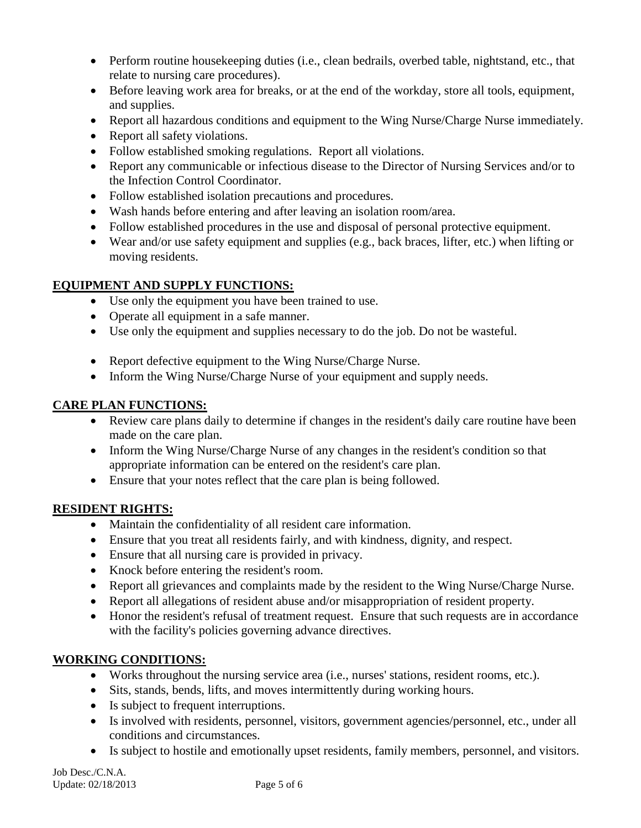- Perform routine house keeping duties (i.e., clean bedrails, overbed table, nightstand, etc., that relate to nursing care procedures).
- Before leaving work area for breaks, or at the end of the workday, store all tools, equipment, and supplies.
- Report all hazardous conditions and equipment to the Wing Nurse/Charge Nurse immediately.
- Report all safety violations.
- Follow established smoking regulations. Report all violations.
- Report any communicable or infectious disease to the Director of Nursing Services and/or to the Infection Control Coordinator.
- Follow established isolation precautions and procedures.
- Wash hands before entering and after leaving an isolation room/area.
- Follow established procedures in the use and disposal of personal protective equipment.
- Wear and/or use safety equipment and supplies (e.g., back braces, lifter, etc.) when lifting or moving residents.

# **EQUIPMENT AND SUPPLY FUNCTIONS:**

- Use only the equipment you have been trained to use.
- Operate all equipment in a safe manner.
- Use only the equipment and supplies necessary to do the job. Do not be wasteful.
- Report defective equipment to the Wing Nurse/Charge Nurse.
- Inform the Wing Nurse/Charge Nurse of your equipment and supply needs.

# **CARE PLAN FUNCTIONS:**

- Review care plans daily to determine if changes in the resident's daily care routine have been made on the care plan.
- Inform the Wing Nurse/Charge Nurse of any changes in the resident's condition so that appropriate information can be entered on the resident's care plan.
- Ensure that your notes reflect that the care plan is being followed.

# **RESIDENT RIGHTS:**

- Maintain the confidentiality of all resident care information.
- Ensure that you treat all residents fairly, and with kindness, dignity, and respect.
- Ensure that all nursing care is provided in privacy.
- Knock before entering the resident's room.
- Report all grievances and complaints made by the resident to the Wing Nurse/Charge Nurse.
- Report all allegations of resident abuse and/or misappropriation of resident property.
- Honor the resident's refusal of treatment request. Ensure that such requests are in accordance with the facility's policies governing advance directives.

# **WORKING CONDITIONS:**

- Works throughout the nursing service area (i.e., nurses' stations, resident rooms, etc.).
- Sits, stands, bends, lifts, and moves intermittently during working hours.
- Is subject to frequent interruptions.
- Is involved with residents, personnel, visitors, government agencies/personnel, etc., under all conditions and circumstances.
- Is subject to hostile and emotionally upset residents, family members, personnel, and visitors.